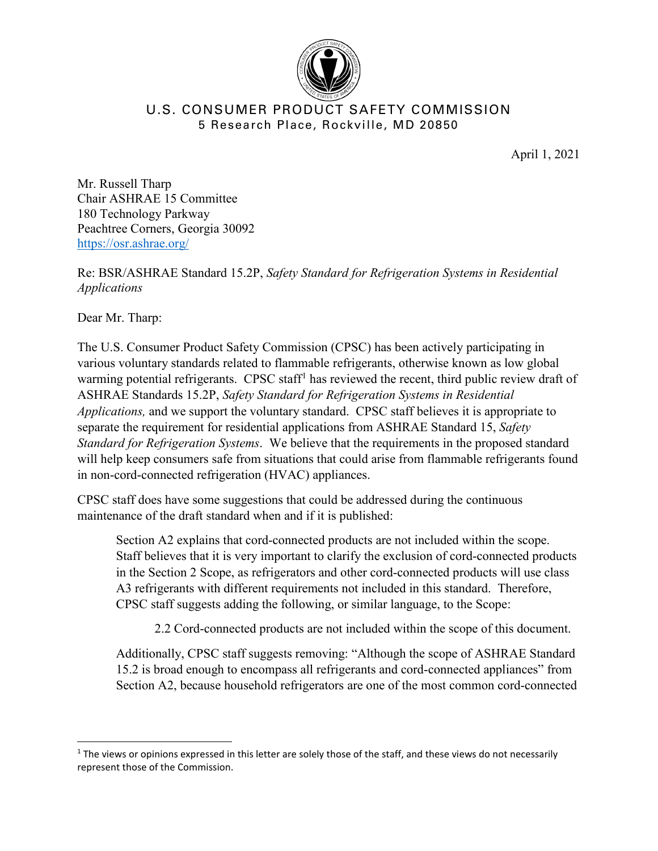

## U.S. CONSUMER PRODUCT SAFETY COMMISSION 5 Research Place, Rockville, MD 20850

April 1, 2021

Mr. Russell Tharp Chair ASHRAE 15 Committee 180 Technology Parkway Peachtree Corners, Georgia 30092 <https://osr.ashrae.org/>

Re: BSR/ASHRAE Standard 15.2P, *Safety Standard for Refrigeration Systems in Residential Applications*

Dear Mr. Tharp:

The U.S. Consumer Product Safety Commission (CPSC) has been actively participating in various voluntary standards related to flammable refrigerants, otherwise known as low global warming potential refrigerants. CPSC staff<sup>[1](#page-0-0)</sup> has reviewed the recent, third public review draft of ASHRAE Standards 15.2P, *Safety Standard for Refrigeration Systems in Residential Applications,* and we support the voluntary standard. CPSC staff believes it is appropriate to separate the requirement for residential applications from ASHRAE Standard 15, *Safety Standard for Refrigeration Systems*. We believe that the requirements in the proposed standard will help keep consumers safe from situations that could arise from flammable refrigerants found in non-cord-connected refrigeration (HVAC) appliances.

CPSC staff does have some suggestions that could be addressed during the continuous maintenance of the draft standard when and if it is published:

Section A2 explains that cord-connected products are not included within the scope. Staff believes that it is very important to clarify the exclusion of cord-connected products in the Section 2 Scope, as refrigerators and other cord-connected products will use class A3 refrigerants with different requirements not included in this standard. Therefore, CPSC staff suggests adding the following, or similar language, to the Scope:

2.2 Cord-connected products are not included within the scope of this document.

Additionally, CPSC staff suggests removing: "Although the scope of ASHRAE Standard 15.2 is broad enough to encompass all refrigerants and cord-connected appliances" from Section A2, because household refrigerators are one of the most common cord-connected

<span id="page-0-0"></span> $1$  The views or opinions expressed in this letter are solely those of the staff, and these views do not necessarily represent those of the Commission.